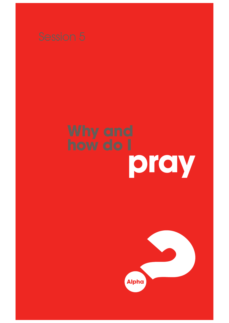

# **pray**

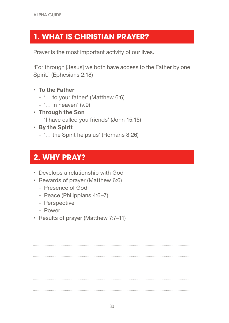#### **1. WHAT IS CHRISTIAN PRAYER?**

Prayer is the most important activity of our lives.

'For through [Jesus] we both have access to the Father by one Spirit.' (Ephesians 2:18)

- **• To the Father**
	- '… to your father' (Matthew 6:6)
	- '… in heaven' (v.9)
- **• Through the Son**
	- 'I have called you friends' (John 15:15)
- **• By the Spirit**
	- '… the Spirit helps us' (Romans 8:26)

#### **2. WHY PRAY?**

- Develops a relationship with God
- Rewards of prayer (Matthew 6:6)
	- Presence of God
	- Peace (Philippians 4:6–7)
	- Perspective
	- Power
- Results of prayer (Matthew 7:7–11)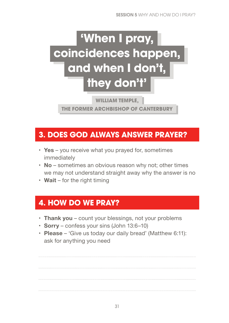## **'When I pray, coincidences happen, and when I don't, they don't'**

**WILLIAM TEMPLE,** 

**THE FORMER ARCHBISHOP OF CANTERBURY**

#### **3. DOES GOD ALWAYS ANSWER PRAYER?**

- **• Yes** you receive what you prayed for, sometimes immediately
- **• No** sometimes an obvious reason why not; other times we may not understand straight away why the answer is no
- **• Wait** for the right timing

#### **4. HOW DO WE PRAY?**

- **• Thank you** count your blessings, not your problems
- **• Sorry** confess your sins (John 13:6–10)
- **• Please** 'Give us today our daily bread' (Matthew 6:11): ask for anything you need